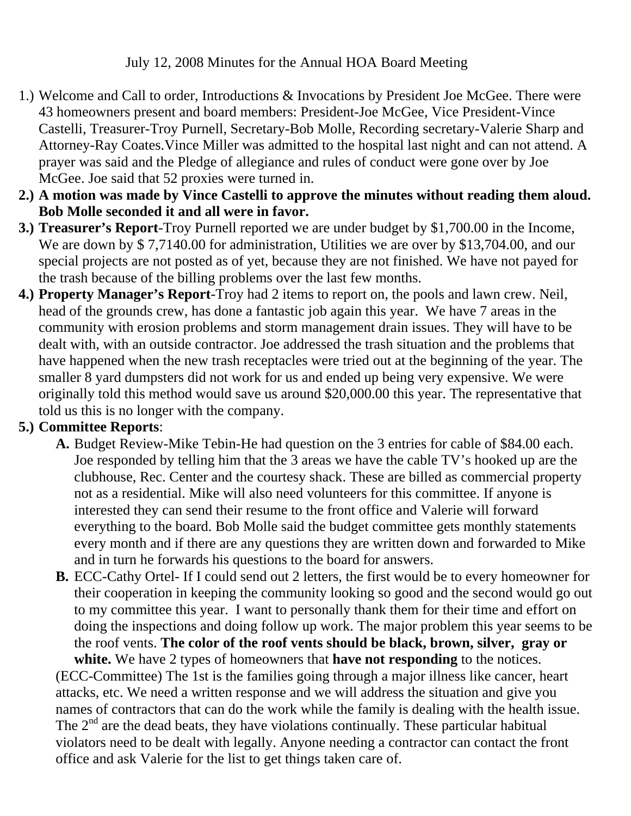## July 12, 2008 Minutes for the Annual HOA Board Meeting

- 1.) Welcome and Call to order, Introductions & Invocations by President Joe McGee. There were 43 homeowners present and board members: President-Joe McGee, Vice President-Vince Castelli, Treasurer-Troy Purnell, Secretary-Bob Molle, Recording secretary-Valerie Sharp and Attorney-Ray Coates.Vince Miller was admitted to the hospital last night and can not attend. A prayer was said and the Pledge of allegiance and rules of conduct were gone over by Joe McGee. Joe said that 52 proxies were turned in.
- **2.) A motion was made by Vince Castelli to approve the minutes without reading them aloud. Bob Molle seconded it and all were in favor.**
- **3.) Treasurer's Report**-Troy Purnell reported we are under budget by \$1,700.00 in the Income, We are down by \$7,7140.00 for administration, Utilities we are over by \$13,704.00, and our special projects are not posted as of yet, because they are not finished. We have not payed for the trash because of the billing problems over the last few months.
- **4.) Property Manager's Report**-Troy had 2 items to report on, the pools and lawn crew. Neil, head of the grounds crew, has done a fantastic job again this year. We have 7 areas in the community with erosion problems and storm management drain issues. They will have to be dealt with, with an outside contractor. Joe addressed the trash situation and the problems that have happened when the new trash receptacles were tried out at the beginning of the year. The smaller 8 yard dumpsters did not work for us and ended up being very expensive. We were originally told this method would save us around \$20,000.00 this year. The representative that told us this is no longer with the company.

## **5.) Committee Reports**:

- **A.** Budget Review-Mike Tebin-He had question on the 3 entries for cable of \$84.00 each. Joe responded by telling him that the 3 areas we have the cable TV's hooked up are the clubhouse, Rec. Center and the courtesy shack. These are billed as commercial property not as a residential. Mike will also need volunteers for this committee. If anyone is interested they can send their resume to the front office and Valerie will forward everything to the board. Bob Molle said the budget committee gets monthly statements every month and if there are any questions they are written down and forwarded to Mike and in turn he forwards his questions to the board for answers.
- **B.** ECC-Cathy Ortel- If I could send out 2 letters, the first would be to every homeowner for their cooperation in keeping the community looking so good and the second would go out to my committee this year. I want to personally thank them for their time and effort on doing the inspections and doing follow up work. The major problem this year seems to be the roof vents. **The color of the roof vents should be black, brown, silver, gray or white.** We have 2 types of homeowners that **have not responding** to the notices.

(ECC-Committee) The 1st is the families going through a major illness like cancer, heart attacks, etc. We need a written response and we will address the situation and give you names of contractors that can do the work while the family is dealing with the health issue. The  $2<sup>nd</sup>$  are the dead beats, they have violations continually. These particular habitual violators need to be dealt with legally. Anyone needing a contractor can contact the front office and ask Valerie for the list to get things taken care of.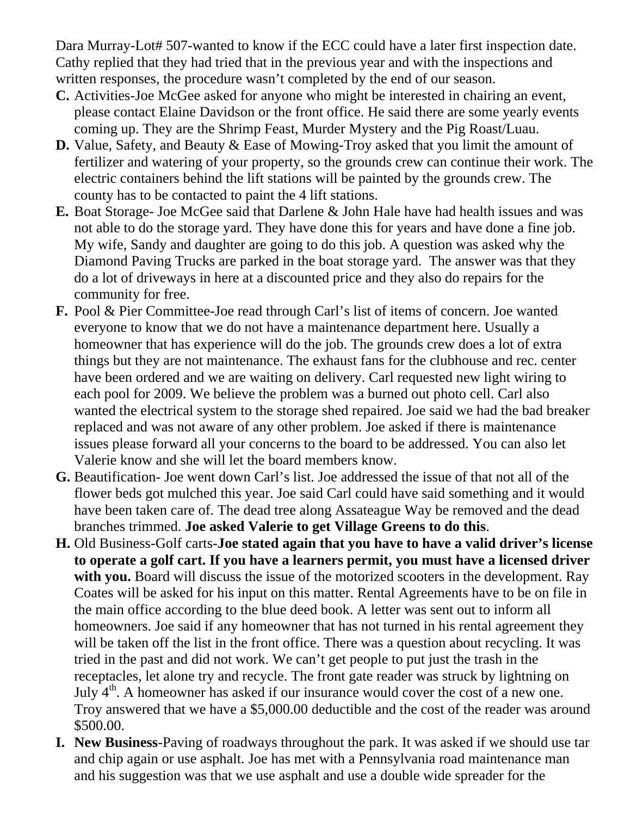Dara Murray-Lot# 507-wanted to know if the ECC could have a later first inspection date. Cathy replied that they had tried that in the previous year and with the inspections and written responses, the procedure wasn't completed by the end of our season.

- **C.** Activities-Joe McGee asked for anyone who might be interested in chairing an event, please contact Elaine Davidson or the front office. He said there are some yearly events coming up. They are the Shrimp Feast, Murder Mystery and the Pig Roast/Luau.
- **D.** Value, Safety, and Beauty & Ease of Mowing-Troy asked that you limit the amount of fertilizer and watering of your property, so the grounds crew can continue their work. The electric containers behind the lift stations will be painted by the grounds crew. The county has to be contacted to paint the 4 lift stations.
- **E.** Boat Storage- Joe McGee said that Darlene & John Hale have had health issues and was not able to do the storage yard. They have done this for years and have done a fine job. My wife, Sandy and daughter are going to do this job. A question was asked why the Diamond Paving Trucks are parked in the boat storage yard. The answer was that they do a lot of driveways in here at a discounted price and they also do repairs for the community for free.
- **F.** Pool & Pier Committee-Joe read through Carl's list of items of concern. Joe wanted everyone to know that we do not have a maintenance department here. Usually a homeowner that has experience will do the job. The grounds crew does a lot of extra things but they are not maintenance. The exhaust fans for the clubhouse and rec. center have been ordered and we are waiting on delivery. Carl requested new light wiring to each pool for 2009. We believe the problem was a burned out photo cell. Carl also wanted the electrical system to the storage shed repaired. Joe said we had the bad breaker replaced and was not aware of any other problem. Joe asked if there is maintenance issues please forward all your concerns to the board to be addressed. You can also let Valerie know and she will let the board members know.
- **G.** Beautification- Joe went down Carl's list. Joe addressed the issue of that not all of the flower beds got mulched this year. Joe said Carl could have said something and it would have been taken care of. The dead tree along Assateague Way be removed and the dead branches trimmed. **Joe asked Valerie to get Village Greens to do this**.
- **H.** Old Business-Golf carts-**Joe stated again that you have to have a valid driver's license to operate a golf cart. If you have a learners permit, you must have a licensed driver**  with you. Board will discuss the issue of the motorized scooters in the development. Ray Coates will be asked for his input on this matter. Rental Agreements have to be on file in the main office according to the blue deed book. A letter was sent out to inform all homeowners. Joe said if any homeowner that has not turned in his rental agreement they will be taken off the list in the front office. There was a question about recycling. It was tried in the past and did not work. We can't get people to put just the trash in the receptacles, let alone try and recycle. The front gate reader was struck by lightning on July  $4<sup>th</sup>$ . A homeowner has asked if our insurance would cover the cost of a new one. Troy answered that we have a \$5,000.00 deductible and the cost of the reader was around \$500.00.
- **I. New Business**-Paving of roadways throughout the park. It was asked if we should use tar and chip again or use asphalt. Joe has met with a Pennsylvania road maintenance man and his suggestion was that we use asphalt and use a double wide spreader for the